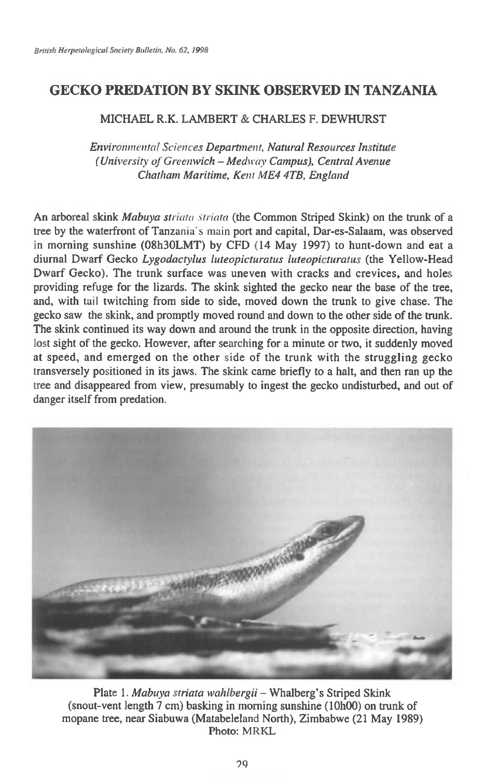## **GECKO PREDATION BY SKINK OBSERVED IN TANZANIA**

## MICHAEL R.K. LAMBERT & CHARLES F. DEWHURST

*Environmental Sciences Department, Natural Resources Institute (University of Greenwich — Medway Campus), Central Avenue Chatham Maritime, Kent ME4 4TB, England* 

An arboreal skink *Mabuya striala striata* (the Common Striped Skink) on the trunk of a tree by the waterfront of Tanzania's main port and capital, Dar-es-Salaam, was observed in morning sunshine (08h3OLMT) by CFD (14 May 1997) to hunt-down and eat a diurnal Dwarf Gecko *Lygodactylus luteopicturatus luteopicturatus* (the Yellow-Head Dwarf Gecko). The trunk surface was uneven with cracks and crevices, and holes providing refuge for the lizards. The skink sighted the gecko near the base of the tree, and, with tail twitching from side to side, moved down the trunk to give chase. The gecko saw the skink, and promptly moved round and down to the other side of the trunk. The skink continued its way down and around the trunk in the opposite direction, having lost sight of the gecko. However, after searching for a minute or two, it suddenly moved at speed, and emerged on the other side of the trunk with the struggling gecko transversely positioned in its jaws. The skink came briefly to a halt, and then ran up the tree and disappeared from view, presumably to ingest the gecko undisturbed, and out of danger itself from predation.



Plate 1. *Mabuya triata wahlbergii —* Whalberg's Striped Skink (snout-vent length 7 cm) basking in morning sunshine (10h00) on trunk of mopane tree, near Siabuwa (Matabeleland North), Zimbabwe (21 May 1989) Photo: MRKL